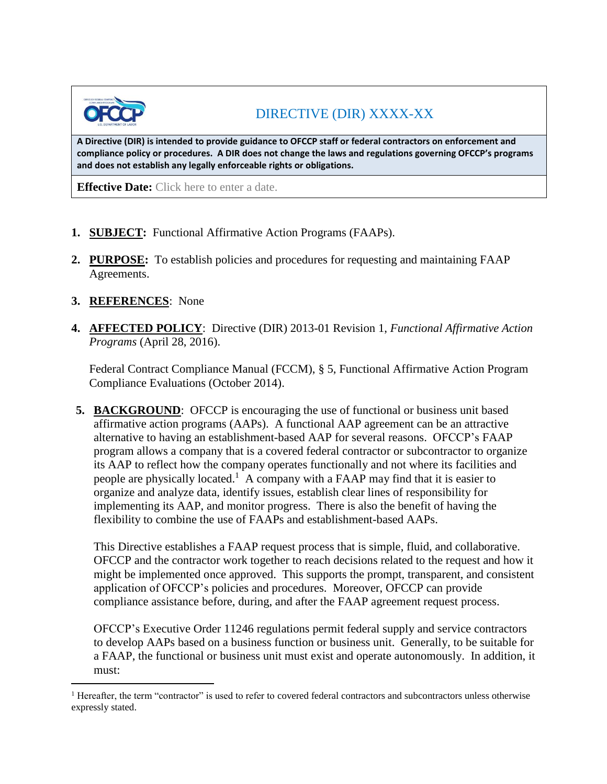

# DIRECTIVE (DIR) XXXX-XX

**A Directive (DIR) is intended to provide guidance to OFCCP staff or federal contractors on enforcement and compliance policy or procedures. A DIR does not change the laws and regulations governing OFCCP's programs and does not establish any legally enforceable rights or obligations.**

**Effective Date:** Click here to enter a date.

- **1. SUBJECT:** Functional Affirmative Action Programs (FAAPs).
- **2. PURPOSE:** To establish policies and procedures for requesting and maintaining FAAP Agreements.
- **3. REFERENCES**: None

i<br>L

**4. AFFECTED POLICY**: Directive (DIR) 2013-01 Revision 1, *Functional Affirmative Action Programs* (April 28, 2016).

Federal Contract Compliance Manual (FCCM), § 5, Functional Affirmative Action Program Compliance Evaluations (October 2014).

**5. BACKGROUND**: OFCCP is encouraging the use of functional or business unit based affirmative action programs (AAPs). A functional AAP agreement can be an attractive alternative to having an establishment-based AAP for several reasons. OFCCP's FAAP program allows a company that is a covered federal contractor or subcontractor to organize its AAP to reflect how the company operates functionally and not where its facilities and people are physically located.<sup>1</sup> A company with a FAAP may find that it is easier to organize and analyze data, identify issues, establish clear lines of responsibility for implementing its AAP, and monitor progress. There is also the benefit of having the flexibility to combine the use of FAAPs and establishment-based AAPs.

This Directive establishes a FAAP request process that is simple, fluid, and collaborative. OFCCP and the contractor work together to reach decisions related to the request and how it might be implemented once approved. This supports the prompt, transparent, and consistent application of OFCCP's policies and procedures. Moreover, OFCCP can provide compliance assistance before, during, and after the FAAP agreement request process.

OFCCP's Executive Order 11246 regulations permit federal supply and service contractors to develop AAPs based on a business function or business unit. Generally, to be suitable for a FAAP, the functional or business unit must exist and operate autonomously. In addition, it must:

<sup>&</sup>lt;sup>1</sup> Hereafter, the term "contractor" is used to refer to covered federal contractors and subcontractors unless otherwise expressly stated.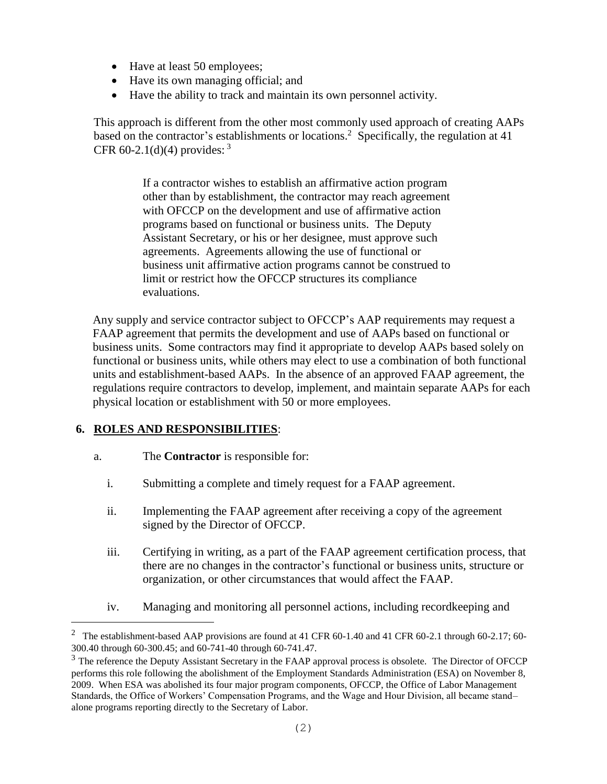- Have at least 50 employees;
- Have its own managing official; and
- Have the ability to track and maintain its own personnel activity.

This approach is different from the other most commonly used approach of creating AAPs based on the contractor's establishments or locations. <sup>2</sup> Specifically, the regulation at 41 CFR 60-2.1(d)(4) provides:  $3^3$ 

> If a contractor wishes to establish an affirmative action program other than by establishment, the contractor may reach agreement with OFCCP on the development and use of affirmative action programs based on functional or business units. The Deputy Assistant Secretary, or his or her designee, must approve such agreements. Agreements allowing the use of functional or business unit affirmative action programs cannot be construed to limit or restrict how the OFCCP structures its compliance evaluations.

Any supply and service contractor subject to OFCCP's AAP requirements may request a FAAP agreement that permits the development and use of AAPs based on functional or business units. Some contractors may find it appropriate to develop AAPs based solely on functional or business units, while others may elect to use a combination of both functional units and establishment-based AAPs. In the absence of an approved FAAP agreement, the regulations require contractors to develop, implement, and maintain separate AAPs for each physical location or establishment with 50 or more employees.

## **6. ROLES AND RESPONSIBILITIES**:

i<br>L

- a. The **Contractor** is responsible for:
	- i. Submitting a complete and timely request for a FAAP agreement.
	- ii. Implementing the FAAP agreement after receiving a copy of the agreement signed by the Director of OFCCP.
	- iii. Certifying in writing, as a part of the FAAP agreement certification process, that there are no changes in the contractor's functional or business units, structure or organization, or other circumstances that would affect the FAAP.
	- iv. Managing and monitoring all personnel actions, including recordkeeping and

<sup>&</sup>lt;sup>2</sup> The establishment-based AAP provisions are found at 41 CFR 60-1.40 and 41 CFR 60-2.1 through 60-2.17; 60-300.40 through 60-300.45; and 60-741-40 through 60-741.47.

<sup>&</sup>lt;sup>3</sup> The reference the Deputy Assistant Secretary in the FAAP approval process is obsolete. The Director of OFCCP performs this role following the abolishment of the Employment Standards Administration (ESA) on November 8, 2009. When ESA was abolished its four major program components, OFCCP, the Office of Labor Management Standards, the Office of Workers' Compensation Programs, and the Wage and Hour Division, all became stand– alone programs reporting directly to the Secretary of Labor.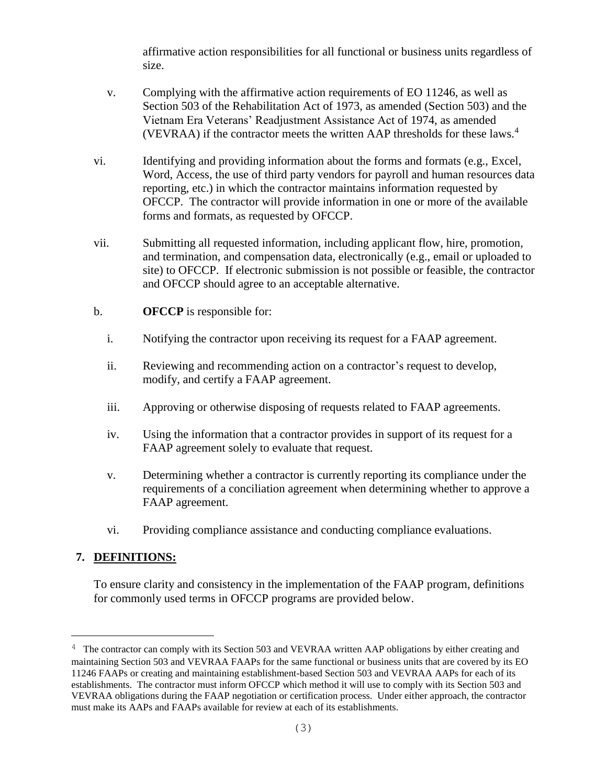affirmative action responsibilities for all functional or business units regardless of size.

- v. Complying with the affirmative action requirements of EO 11246, as well as Section 503 of the Rehabilitation Act of 1973, as amended (Section 503) and the Vietnam Era Veterans' Readjustment Assistance Act of 1974, as amended (VEVRAA) if the contractor meets the written AAP thresholds for these laws.<sup>4</sup>
- vi. Identifying and providing information about the forms and formats (e.g., Excel, Word, Access, the use of third party vendors for payroll and human resources data reporting, etc.) in which the contractor maintains information requested by OFCCP. The contractor will provide information in one or more of the available forms and formats, as requested by OFCCP.
- vii. Submitting all requested information, including applicant flow, hire, promotion, and termination, and compensation data, electronically (e.g., email or uploaded to site) to OFCCP. If electronic submission is not possible or feasible, the contractor and OFCCP should agree to an acceptable alternative.
- b. **OFCCP** is responsible for:
	- i. Notifying the contractor upon receiving its request for a FAAP agreement.
	- ii. Reviewing and recommending action on a contractor's request to develop, modify, and certify a FAAP agreement.
	- iii. Approving or otherwise disposing of requests related to FAAP agreements.
	- iv. Using the information that a contractor provides in support of its request for a FAAP agreement solely to evaluate that request.
	- v. Determining whether a contractor is currently reporting its compliance under the requirements of a conciliation agreement when determining whether to approve a FAAP agreement.
	- vi. Providing compliance assistance and conducting compliance evaluations.

#### **7. DEFINITIONS:**

i<br>L

To ensure clarity and consistency in the implementation of the FAAP program, definitions for commonly used terms in OFCCP programs are provided below.

<sup>&</sup>lt;sup>4</sup> The contractor can comply with its Section 503 and VEVRAA written AAP obligations by either creating and maintaining Section 503 and VEVRAA FAAPs for the same functional or business units that are covered by its EO 11246 FAAPs or creating and maintaining establishment-based Section 503 and VEVRAA AAPs for each of its establishments. The contractor must inform OFCCP which method it will use to comply with its Section 503 and VEVRAA obligations during the FAAP negotiation or certification process. Under either approach, the contractor must make its AAPs and FAAPs available for review at each of its establishments.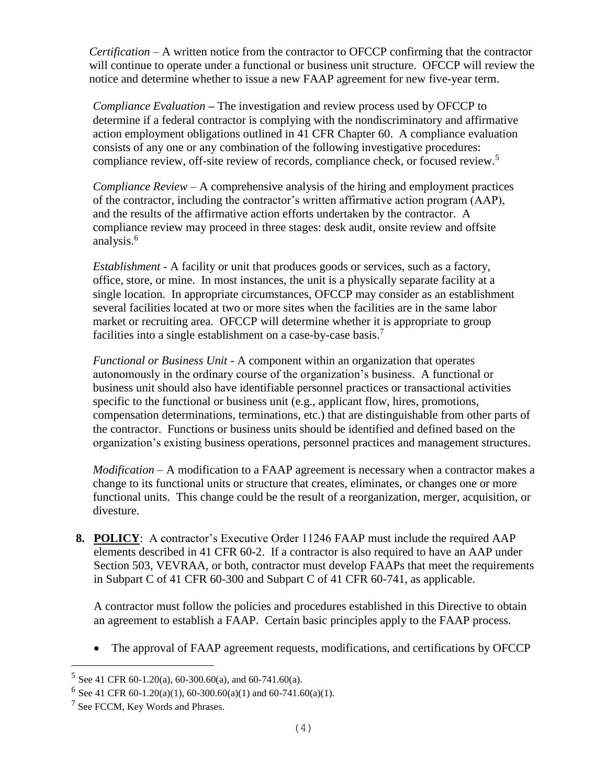*Certification –* A written notice from the contractor to OFCCP confirming that the contractor will continue to operate under a functional or business unit structure. OFCCP will review the notice and determine whether to issue a new FAAP agreement for new five-year term.

*Compliance Evaluation* **–** The investigation and review process used by OFCCP to determine if a federal contractor is complying with the nondiscriminatory and affirmative action employment obligations outlined in 41 CFR Chapter 60. A compliance evaluation consists of any one or any combination of the following investigative procedures: compliance review, off-site review of records, compliance check, or focused review. 5

*Compliance Review –* A comprehensive analysis of the hiring and employment practices of the contractor, including the contractor's written affirmative action program (AAP), and the results of the affirmative action efforts undertaken by the contractor. A compliance review may proceed in three stages: desk audit, onsite review and offsite analysis.<sup>6</sup>

*Establishment* - A facility or unit that produces goods or services, such as a factory, office, store, or mine. In most instances, the unit is a physically separate facility at a single location. In appropriate circumstances, OFCCP may consider as an establishment several facilities located at two or more sites when the facilities are in the same labor market or recruiting area. OFCCP will determine whether it is appropriate to group facilities into a single establishment on a case-by-case basis.<sup>7</sup>

*Functional or Business Unit* - A component within an organization that operates autonomously in the ordinary course of the organization's business. A functional or business unit should also have identifiable personnel practices or transactional activities specific to the functional or business unit (e.g., applicant flow, hires, promotions, compensation determinations, terminations, etc.) that are distinguishable from other parts of the contractor. Functions or business units should be identified and defined based on the organization's existing business operations, personnel practices and management structures.

*Modification –* A modification to a FAAP agreement is necessary when a contractor makes a change to its functional units or structure that creates, eliminates, or changes one or more functional units. This change could be the result of a reorganization, merger, acquisition, or divesture.

**8. POLICY**: A contractor's Executive Order 11246 FAAP must include the required AAP elements described in 41 CFR 60-2. If a contractor is also required to have an AAP under Section 503, VEVRAA, or both, contractor must develop FAAPs that meet the requirements in Subpart C of 41 CFR 60-300 and Subpart C of 41 CFR 60-741, as applicable.

A contractor must follow the policies and procedures established in this Directive to obtain an agreement to establish a FAAP. Certain basic principles apply to the FAAP process.

• The approval of FAAP agreement requests, modifications, and certifications by OFCCP

i<br>L

<sup>&</sup>lt;sup>5</sup> See 41 CFR 60-1.20(a), 60-300.60(a), and 60-741.60(a).

<sup>&</sup>lt;sup>6</sup> See 41 CFR 60-1.20(a)(1), 60-300.60(a)(1) and 60-741.60(a)(1).

<sup>&</sup>lt;sup>7</sup> See FCCM, Key Words and Phrases.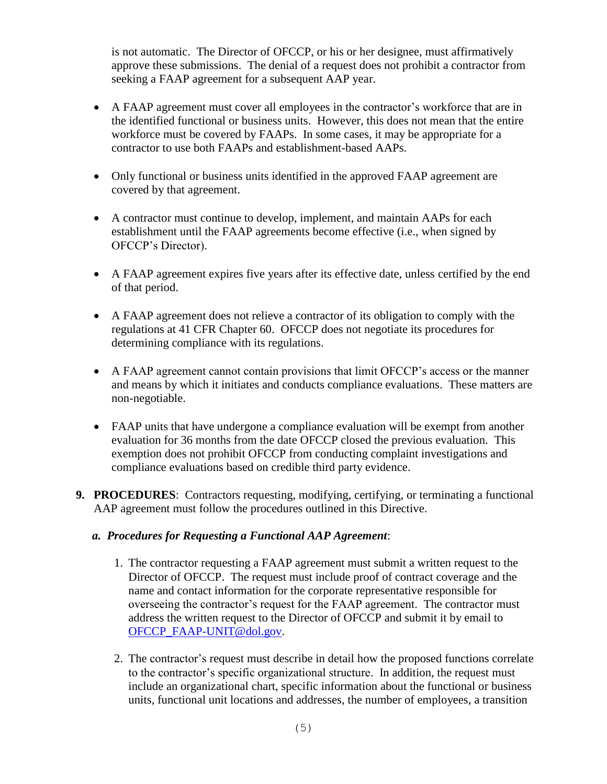is not automatic. The Director of OFCCP, or his or her designee, must affirmatively approve these submissions. The denial of a request does not prohibit a contractor from seeking a FAAP agreement for a subsequent AAP year.

- A FAAP agreement must cover all employees in the contractor's workforce that are in the identified functional or business units. However, this does not mean that the entire workforce must be covered by FAAPs. In some cases, it may be appropriate for a contractor to use both FAAPs and establishment-based AAPs.
- Only functional or business units identified in the approved FAAP agreement are covered by that agreement.
- A contractor must continue to develop, implement, and maintain AAPs for each establishment until the FAAP agreements become effective (i.e., when signed by OFCCP's Director).
- A FAAP agreement expires five years after its effective date, unless certified by the end of that period.
- A FAAP agreement does not relieve a contractor of its obligation to comply with the regulations at 41 CFR Chapter 60. OFCCP does not negotiate its procedures for determining compliance with its regulations.
- A FAAP agreement cannot contain provisions that limit OFCCP's access or the manner and means by which it initiates and conducts compliance evaluations. These matters are non-negotiable.
- FAAP units that have undergone a compliance evaluation will be exempt from another evaluation for 36 months from the date OFCCP closed the previous evaluation. This exemption does not prohibit OFCCP from conducting complaint investigations and compliance evaluations based on credible third party evidence.
- **9. PROCEDURES**: Contractors requesting, modifying, certifying, or terminating a functional AAP agreement must follow the procedures outlined in this Directive.

#### *a. Procedures for Requesting a Functional AAP Agreement*:

- 1. The contractor requesting a FAAP agreement must submit a written request to the Director of OFCCP. The request must include proof of contract coverage and the name and contact information for the corporate representative responsible for overseeing the contractor's request for the FAAP agreement. The contractor must address the written request to the Director of OFCCP and submit it by email to [OFCCP\\_FAAP-UNIT@dol.gov.](mailto:OFCCP_FAAP-UNIT@dol.gov)
- 2. The contractor's request must describe in detail how the proposed functions correlate to the contractor's specific organizational structure. In addition, the request must include an organizational chart, specific information about the functional or business units, functional unit locations and addresses, the number of employees, a transition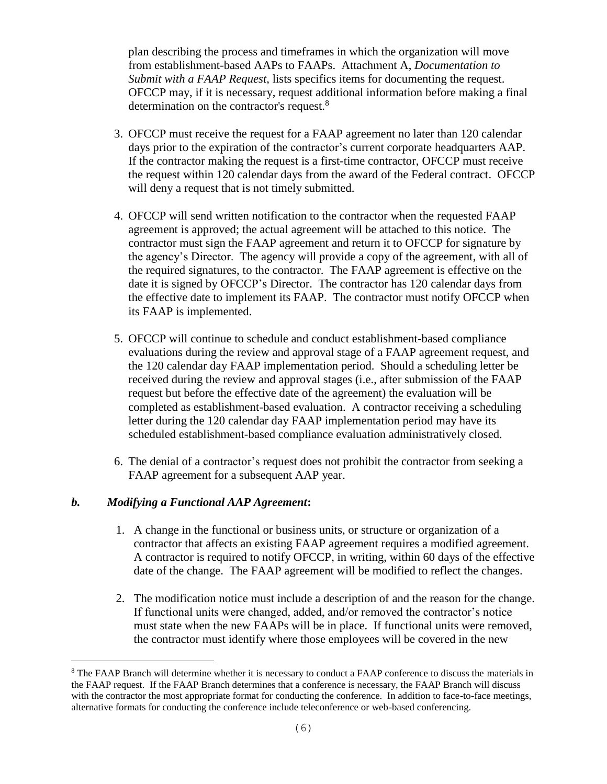plan describing the process and timeframes in which the organization will move from establishment-based AAPs to FAAPs. Attachment A, *Documentation to Submit with a FAAP Request*, lists specifics items for documenting the request. OFCCP may, if it is necessary, request additional information before making a final determination on the contractor's request.<sup>8</sup>

- 3. OFCCP must receive the request for a FAAP agreement no later than 120 calendar days prior to the expiration of the contractor's current corporate headquarters AAP. If the contractor making the request is a first-time contractor, OFCCP must receive the request within 120 calendar days from the award of the Federal contract. OFCCP will deny a request that is not timely submitted.
- 4. OFCCP will send written notification to the contractor when the requested FAAP agreement is approved; the actual agreement will be attached to this notice. The contractor must sign the FAAP agreement and return it to OFCCP for signature by the agency's Director. The agency will provide a copy of the agreement, with all of the required signatures, to the contractor. The FAAP agreement is effective on the date it is signed by OFCCP's Director. The contractor has 120 calendar days from the effective date to implement its FAAP. The contractor must notify OFCCP when its FAAP is implemented.
- 5. OFCCP will continue to schedule and conduct establishment-based compliance evaluations during the review and approval stage of a FAAP agreement request, and the 120 calendar day FAAP implementation period. Should a scheduling letter be received during the review and approval stages (i.e., after submission of the FAAP request but before the effective date of the agreement) the evaluation will be completed as establishment-based evaluation. A contractor receiving a scheduling letter during the 120 calendar day FAAP implementation period may have its scheduled establishment-based compliance evaluation administratively closed.
- 6. The denial of a contractor's request does not prohibit the contractor from seeking a FAAP agreement for a subsequent AAP year.

#### *b. Modifying a Functional AAP Agreement***:**

i<br>L

- 1. A change in the functional or business units, or structure or organization of a contractor that affects an existing FAAP agreement requires a modified agreement. A contractor is required to notify OFCCP, in writing, within 60 days of the effective date of the change. The FAAP agreement will be modified to reflect the changes.
- 2. The modification notice must include a description of and the reason for the change. If functional units were changed, added, and/or removed the contractor's notice must state when the new FAAPs will be in place. If functional units were removed, the contractor must identify where those employees will be covered in the new

<sup>&</sup>lt;sup>8</sup> The FAAP Branch will determine whether it is necessary to conduct a FAAP conference to discuss the materials in the FAAP request. If the FAAP Branch determines that a conference is necessary, the FAAP Branch will discuss with the contractor the most appropriate format for conducting the conference. In addition to face-to-face meetings, alternative formats for conducting the conference include teleconference or web-based conferencing.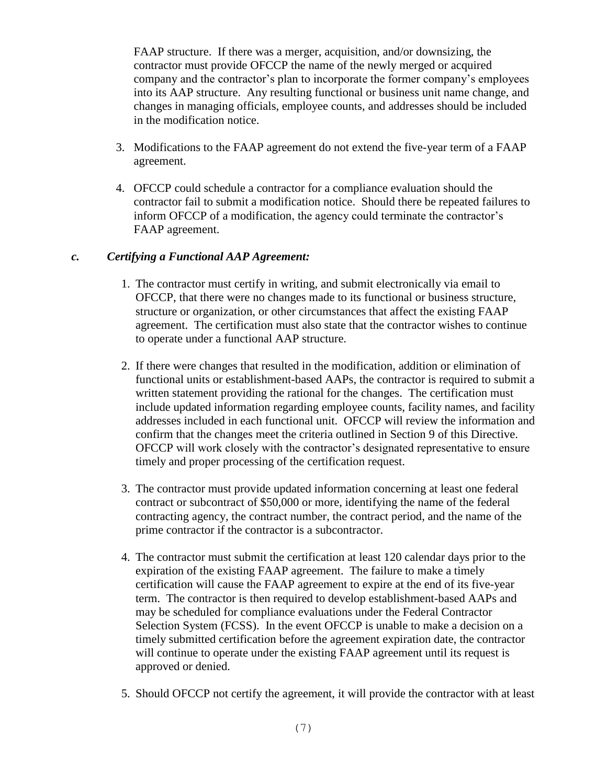FAAP structure. If there was a merger, acquisition, and/or downsizing, the contractor must provide OFCCP the name of the newly merged or acquired company and the contractor's plan to incorporate the former company's employees into its AAP structure. Any resulting functional or business unit name change, and changes in managing officials, employee counts, and addresses should be included in the modification notice.

- 3. Modifications to the FAAP agreement do not extend the five-year term of a FAAP agreement.
- 4. OFCCP could schedule a contractor for a compliance evaluation should the contractor fail to submit a modification notice. Should there be repeated failures to inform OFCCP of a modification, the agency could terminate the contractor's FAAP agreement.

#### *c. Certifying a Functional AAP Agreement:*

- 1. The contractor must certify in writing, and submit electronically via email to OFCCP, that there were no changes made to its functional or business structure, structure or organization, or other circumstances that affect the existing FAAP agreement. The certification must also state that the contractor wishes to continue to operate under a functional AAP structure.
- 2. If there were changes that resulted in the modification, addition or elimination of functional units or establishment-based AAPs, the contractor is required to submit a written statement providing the rational for the changes. The certification must include updated information regarding employee counts, facility names, and facility addresses included in each functional unit. OFCCP will review the information and confirm that the changes meet the criteria outlined in Section 9 of this Directive. OFCCP will work closely with the contractor's designated representative to ensure timely and proper processing of the certification request.
- 3. The contractor must provide updated information concerning at least one federal contract or subcontract of \$50,000 or more, identifying the name of the federal contracting agency, the contract number, the contract period, and the name of the prime contractor if the contractor is a subcontractor.
- 4. The contractor must submit the certification at least 120 calendar days prior to the expiration of the existing FAAP agreement. The failure to make a timely certification will cause the FAAP agreement to expire at the end of its five-year term. The contractor is then required to develop establishment-based AAPs and may be scheduled for compliance evaluations under the Federal Contractor Selection System (FCSS). In the event OFCCP is unable to make a decision on a timely submitted certification before the agreement expiration date, the contractor will continue to operate under the existing FAAP agreement until its request is approved or denied.
- 5. Should OFCCP not certify the agreement, it will provide the contractor with at least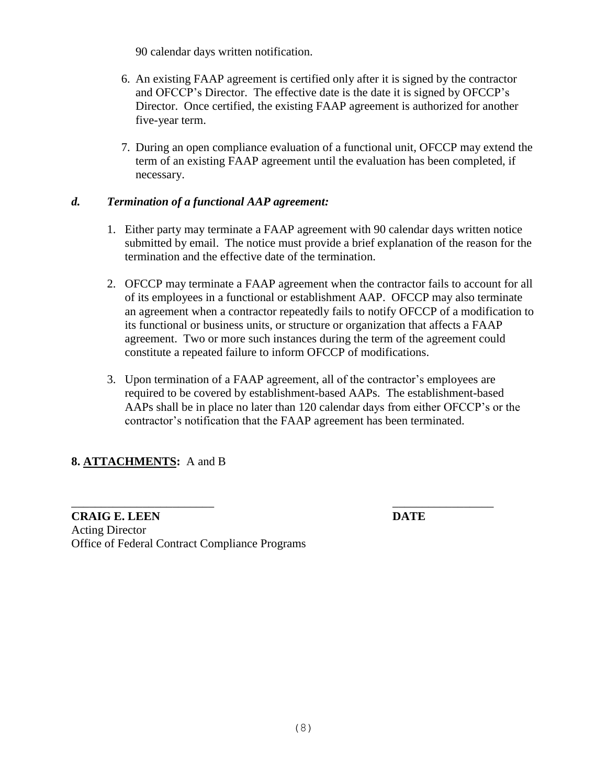90 calendar days written notification.

- 6. An existing FAAP agreement is certified only after it is signed by the contractor and OFCCP's Director. The effective date is the date it is signed by OFCCP's Director. Once certified, the existing FAAP agreement is authorized for another five-year term.
- 7. During an open compliance evaluation of a functional unit, OFCCP may extend the term of an existing FAAP agreement until the evaluation has been completed, if necessary.

#### *d. Termination of a functional AAP agreement:*

- 1. Either party may terminate a FAAP agreement with 90 calendar days written notice submitted by email. The notice must provide a brief explanation of the reason for the termination and the effective date of the termination.
- 2. OFCCP may terminate a FAAP agreement when the contractor fails to account for all of its employees in a functional or establishment AAP. OFCCP may also terminate an agreement when a contractor repeatedly fails to notify OFCCP of a modification to its functional or business units, or structure or organization that affects a FAAP agreement. Two or more such instances during the term of the agreement could constitute a repeated failure to inform OFCCP of modifications.
- 3. Upon termination of a FAAP agreement, all of the contractor's employees are required to be covered by establishment-based AAPs. The establishment-based AAPs shall be in place no later than 120 calendar days from either OFCCP's or the contractor's notification that the FAAP agreement has been terminated.

 $\overline{\phantom{a}}$  , and the contract of the contract of the contract of the contract of the contract of the contract of the contract of the contract of the contract of the contract of the contract of the contract of the contrac

## **8. ATTACHMENTS:** A and B

**CRAIG E. LEEN DATE** Acting Director Office of Federal Contract Compliance Programs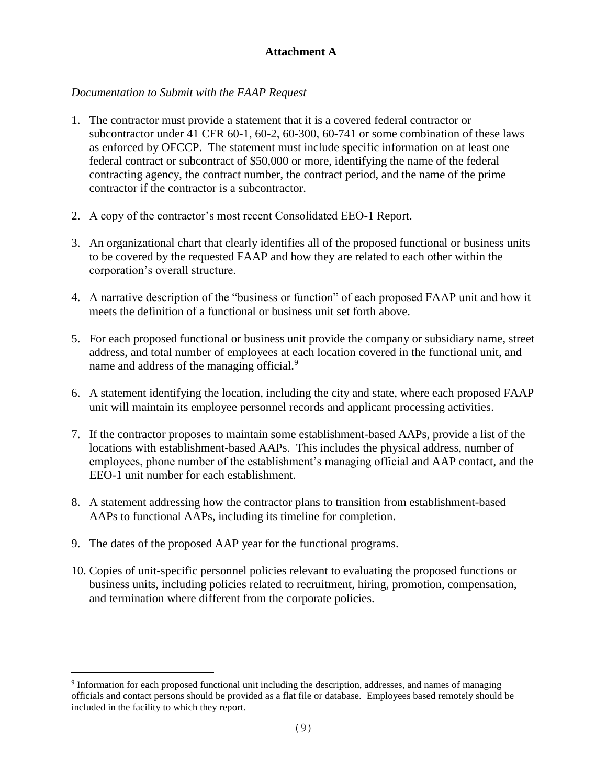## **Attachment A**

## *Documentation to Submit with the FAAP Request*

- 1. The contractor must provide a statement that it is a covered federal contractor or subcontractor under 41 CFR 60-1, 60-2, 60-300, 60-741 or some combination of these laws as enforced by OFCCP. The statement must include specific information on at least one federal contract or subcontract of \$50,000 or more, identifying the name of the federal contracting agency, the contract number, the contract period, and the name of the prime contractor if the contractor is a subcontractor.
- 2. A copy of the contractor's most recent Consolidated EEO-1 Report.
- 3. An organizational chart that clearly identifies all of the proposed functional or business units to be covered by the requested FAAP and how they are related to each other within the corporation's overall structure.
- 4. A narrative description of the "business or function" of each proposed FAAP unit and how it meets the definition of a functional or business unit set forth above.
- 5. For each proposed functional or business unit provide the company or subsidiary name, street address, and total number of employees at each location covered in the functional unit, and name and address of the managing official.<sup>9</sup>
- 6. A statement identifying the location, including the city and state, where each proposed FAAP unit will maintain its employee personnel records and applicant processing activities.
- 7. If the contractor proposes to maintain some establishment-based AAPs, provide a list of the locations with establishment-based AAPs. This includes the physical address, number of employees, phone number of the establishment's managing official and AAP contact, and the EEO-1 unit number for each establishment.
- 8. A statement addressing how the contractor plans to transition from establishment-based AAPs to functional AAPs, including its timeline for completion.
- 9. The dates of the proposed AAP year for the functional programs.

i<br>L

10. Copies of unit-specific personnel policies relevant to evaluating the proposed functions or business units, including policies related to recruitment, hiring, promotion, compensation, and termination where different from the corporate policies.

<sup>&</sup>lt;sup>9</sup> Information for each proposed functional unit including the description, addresses, and names of managing officials and contact persons should be provided as a flat file or database. Employees based remotely should be included in the facility to which they report.